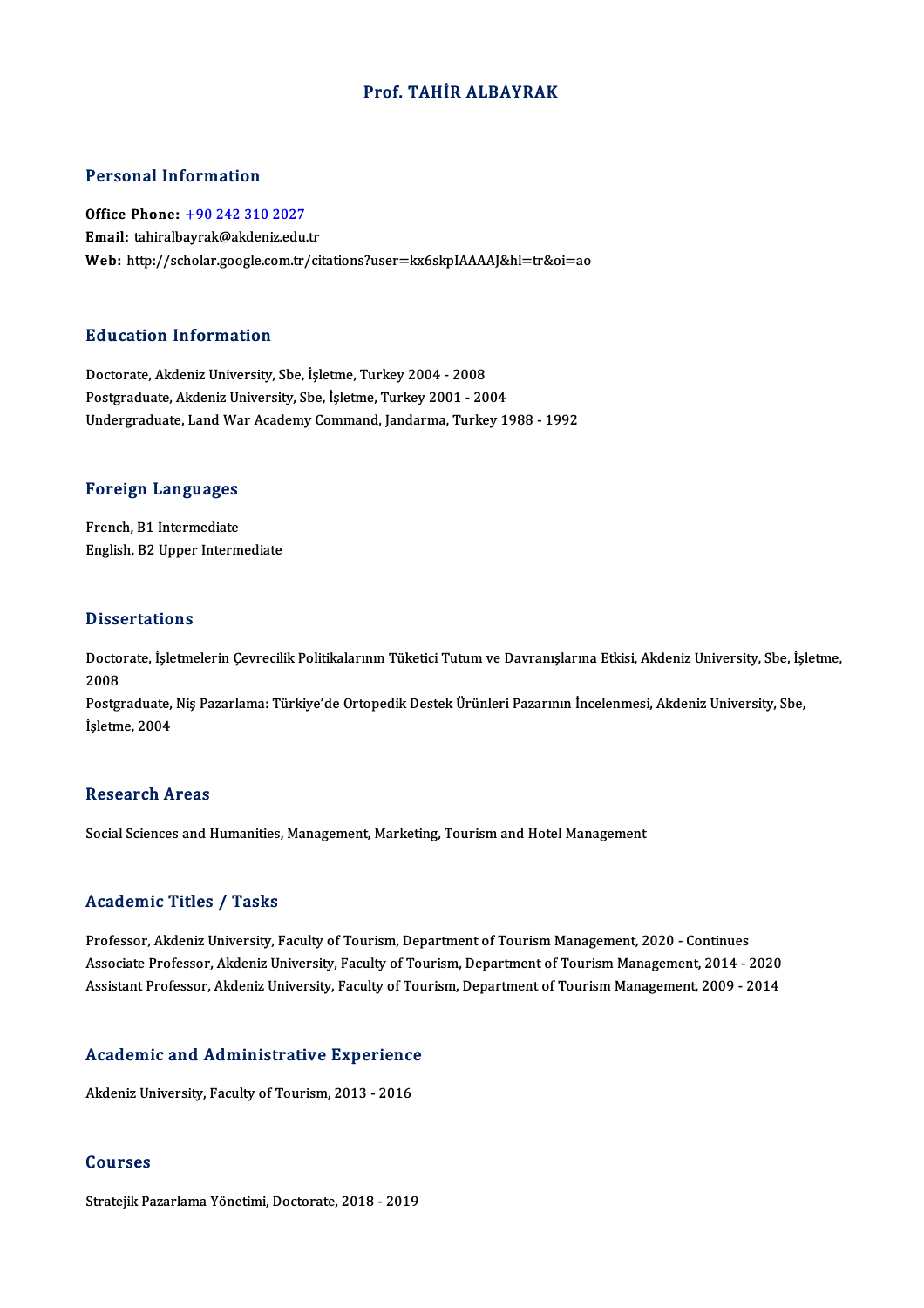### Prof. TAHİR ALBAYRAK

### Personal Information

Personal Information<br>Office Phone: <u>+90 242 310 2027</u><br>Email: tabiralbaural:@akdaniz.cdu Procedure Historical<br>Office Phone: <u>+90 242 310 2027</u><br>Email: tahiralb[ayrak@akdeniz.edu](tel:+90 242 310 2027).tr Email: tahiralbayrak@akdeniz.edu.tr<br>Web: http://scholar.google.com.tr/citations?user=kx6skpIAAAAJ&hl=tr&oi=ao

### Education Information

Doctorate, Akdeniz University, Sbe, İşletme, Turkey 2004 - 2008 Postgraduate, Akdeniz University, Sbe, İşletme, Turkey 2001 - 2004 Undergraduate, Land War Academy Command, Jandarma, Turkey 1988 - 1992

# <sub>ondergraduate, Land wa<br>Foreign Languages</sub>

**Foreign Languages<br>French, B1 Intermediate<br>English, B2 Unner Interm** French, B1 Intermediate<br>English, B2 Upper Intermediate

#### **Dissertations**

Dissertations<br>Doctorate, İşletmelerin Çevrecilik Politikalarının Tüketici Tutum ve Davranışlarına Etkisi, Akdeniz University, Sbe, İşletme,<br>2008  $D$  1550 $D$ <br>2008<br>Poster Doctorate, İşletmelerin Çevrecilik Politikalarının Tüketici Tutum ve Davranışlarına Etkisi, Akdeniz University, Sbe, İşl<br>2008<br>Postgraduate, Niş Pazarlama: Türkiye'de Ortopedik Destek Ürünleri Pazarının İncelenmesi, Akdeniz

2008<br>Postgraduate,<br>İşletme, 2004 İşletme, 2004<br>Research Areas

Social Sciences and Humanities, Management, Marketing, Tourism and Hotel Management

#### Academic Titles / Tasks

Professor, Akdeniz University, Faculty of Tourism, Department of Tourism Management, 2020 - Continues Associate Article 7, Andre<br>Professor, Akdeniz University, Faculty of Tourism, Department of Tourism Management, 2020 - Continues<br>Associate Professor, Akdeniz University, Faculty of Tourism, Department of Tourism Management Professor, Akdeniz University, Faculty of Tourism, Department of Tourism Management, 2020 - Continues<br>Associate Professor, Akdeniz University, Faculty of Tourism, Department of Tourism Management, 2014 - 2020<br>Assistant Pro

# Assistant Professor, Akdeniz University, Paculty of Tour<br>Academic and Administrative Experience A<mark>cademic and Administrative Experienc</mark><br>Akdeniz University, Faculty of Tourism, 2013 - 2016

Akdeniz University, Faculty of Tourism, 2013 - 2016<br>Courses

Stratejik Pazarlama Yönetimi, Doctorate, 2018 - 2019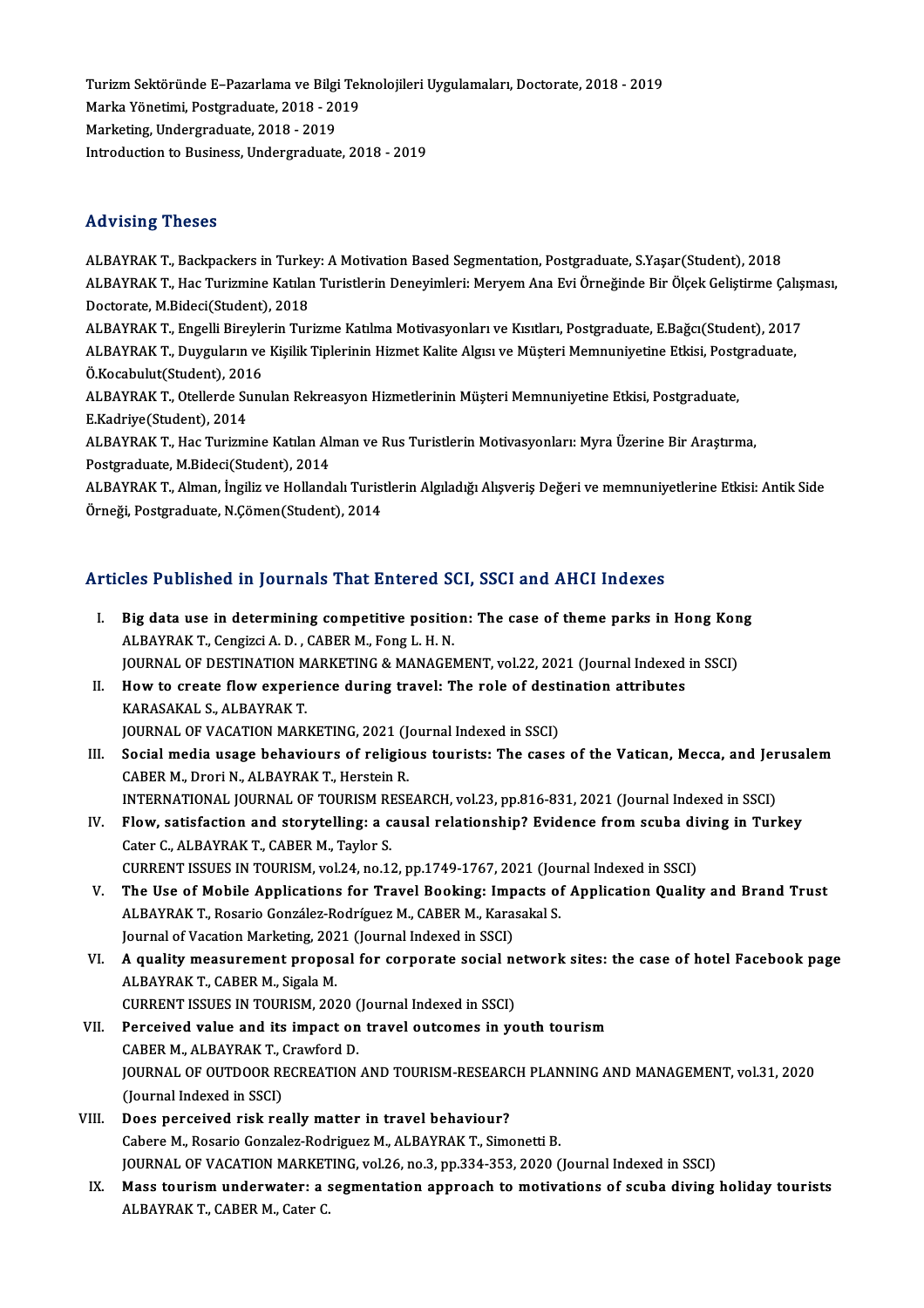Turizm Sektöründe E–Pazarlama ve Bilgi Teknolojileri Uygulamaları, Doctorate, 2018 - 2019<br>Marka Vänetimi, Pestsyaduste, 2019 - 2019 Turizm Sektöründe E–Pazarlama ve Bilgi Tel<br>Marka Yönetimi, Postgraduate, 2018 - 2019<br>Markating, Undergraduate, 2018 - 2019 Turizm Sektöründe E–Pazarlama ve Bilgi<br>Marka Yönetimi, Postgraduate, 2018 - 20<br>Marketing, Undergraduate, 2018 - 2019<br>Introduction to Business, Undergraduate Marka Yönetimi, Postgraduate, 2018 - 2019<br>Marketing, Undergraduate, 2018 - 2019<br>Introduction to Business, Undergraduate, 2018 - 2019

### Advising Theses

Advising Theses<br>ALBAYRAK T., Backpackers in Turkey: A Motivation Based Segmentation, Postgraduate, S.Yaşar(Student), 2018<br>ALBAYRAK T., Hac Turizmine Katılan Turistlerin Denevimleri: Mervem Ane Evi Örneğinde Bir Ölcek Celis rta vibring "Troboe"<br>ALBAYRAK T., Backpackers in Turkey: A Motivation Based Segmentation, Postgraduate, S.Yaşar(Student), 2018<br>ALBAYRAK T., Hac Turizmine Katılan Turistlerin Deneyimleri: Meryem Ana Evi Örneğinde Bir Ölçek ALBAYRAK T., Backpackers in Turke<br>ALBAYRAK T., Hac Turizmine Katılar<br>Doctorate, M.Bideci(Student), 2018<br>ALBAYRAK T. Engelli Birovlarin Tur ALBAYRAK T., Hac Turizmine Katılan Turistlerin Deneyimleri: Meryem Ana Evi Örneğinde Bir Ölçek Geliştirme Çalış<br>Doctorate, M.Bideci(Student), 2018<br>ALBAYRAK T., Engelli Bireylerin Turizme Katılma Motivasyonları ve Kısıtları

Doctorate, M.Bideci(Student), 2018<br>ALBAYRAK T., Engelli Bireylerin Turizme Katılma Motivasyonları ve Kısıtları, Postgraduate, E.Bağcı(Student), 2017<br>ALBAYRAK T., Duyguların ve Kişilik Tiplerinin Hizmet Kalite Algısı ve Müş ALBAYRAK T., Engelli Bireyle<br>ALBAYRAK T., Duyguların ve<br>Ö.Kocabulut(Student), 2016<br>ALBAYRAK T. Otallarda Sunı ALBAYRAK T., Duyguların ve Kişilik Tiplerinin Hizmet Kalite Algısı ve Müşteri Memnuniyetine Etkisi, Postgraduate,<br>Ö.Kocabulut(Student), 2016<br>ALBAYRAK T., Otellerde Sunulan Rekreasyon Hizmetlerinin Müşteri Memnuniyetine Etk Ö.Kocabulut(Student), 2016

ALBAYRAK T., Otellerde Sunulan Rekreasyon Hizmetlerinin Müşteri Memnuniyetine Etkisi, Postgraduate,<br>E.Kadriye(Student), 2014<br>ALBAYRAK T., Hac Turizmine Katılan Alman ve Rus Turistlerin Motivasyonları: Myra Üzerine Bir Araş

E.Kadriye(Student), 2014<br>ALBAYRAK T., Hac Turizmine Katılan Al:<br>Postgraduate, M.Bideci(Student), 2014<br>ALBAYRAK T., Alman, İngiliz ve Helland

Postgraduate, M.Bideci(Student), 2014<br>ALBAYRAK T., Alman, İngiliz ve Hollandalı Turistlerin Algıladığı Alışveriş Değeri ve memnuniyetlerine Etkisi: Antik Side Örneği, Postgraduate, N.Çömen(Student), 2014

### Articles Published in Journals That Entered SCI, SSCI and AHCI Indexes

- rticles Published in Journals That Entered SCI, SSCI and AHCI Indexes<br>I. Big data use in determining competitive position: The case of theme parks in Hong Kong<br>ALPAYPAKT Congigi A.D. CARER M. Fong L.H.N. ALBAYRAKT., Cengizci A.D., CABER M., Fong L.H.N.<br>ALBAYRAKT., Cengizci A.D., CABER M., Fong L.H.N.<br>JOUDNAL OF DESTINATION MARKETING & MANAGER Big data use in determining competitive position: The case of theme parks in Hong Kon<br>ALBAYRAK T., Cengizci A. D. , CABER M., Fong L. H. N.<br>JOURNAL OF DESTINATION MARKETING & MANAGEMENT, vol.22, 2021 (Journal Indexed in SS ALBAYRAK T., Cengizci A. D. , CABER M., Fong L. H. N.<br>JOURNAL OF DESTINATION MARKETING & MANAGEMENT, vol.22, 2021 (Journal Indexed<br>II. How to create flow experience during travel: The role of destination attributes<br>KARASAK
- **JOURNAL OF DESTINATION M<br>How to create flow experi<br>KARASAKAL S., ALBAYRAK T.<br>JOUPNAL OF VACATION MAR** How to create flow experience during travel: The role of dest<br>KARASAKAL S., ALBAYRAK T.<br>JOURNAL OF VACATION MARKETING, 2021 (Journal Indexed in SSCI)<br>Secial modia usage behaviours of religious tourists: The sesse
- KARASAKAL S., ALBAYRAK T.<br>JOURNAL OF VACATION MARKETING, 2021 (Journal Indexed in SSCI)<br>III. Social media usage behaviours of religious tourists: The cases of the Vatican, Mecca, and Jerusalem<br>CARER M. Drori N. ALBAYRAK T. **JOURNAL OF VACATION MARKETING, 2021 (J<br>Social media usage behaviours of religio<br>CABER M., Drori N., ALBAYRAK T., Herstein R.**<br>INTERNATIONAL JOURNAL OF TOURISM RESE Social media usage behaviours of religious tourists: The cases of the Vatican, Mecca, and Jer<br>CABER M., Drori N., ALBAYRAK T., Herstein R.<br>INTERNATIONAL JOURNAL OF TOURISM RESEARCH, vol.23, pp.816-831, 2021 (Journal Indexe CABER M., Drori N., ALBAYRAK T., Herstein R.<br>INTERNATIONAL JOURNAL OF TOURISM RESEARCH, vol.23, pp.816-831, 2021 (Journal Indexed in SSCI)<br>IV. Flow, satisfaction and storytelling: a causal relationship? Evidence from scuba
- INTERNATIONAL JOURNAL OF TOURISM RI<br>Flow, satisfaction and storytelling: a c<br>Cater C., ALBAYRAK T., CABER M., Taylor S.<br>CURRENT ISSUES IN TOURISM vol 24, no.13 Flow, satisfaction and storytelling: a causal relationship? Evidence from scuba di<br>Cater C., ALBAYRAK T., CABER M., Taylor S.<br>CURRENT ISSUES IN TOURISM, vol.24, no.12, pp.1749-1767, 2021 (Journal Indexed in SSCI)<br>The Use o Cater C., ALBAYRAK T., CABER M., Taylor S.<br>CURRENT ISSUES IN TOURISM, vol.24, no.12, pp.1749-1767, 2021 (Journal Indexed in SSCI)<br>V. The Use of Mobile Applications for Travel Booking: Impacts of Application Quality and Bra
- CURRENT ISSUES IN TOURISM, vol.24, no.12, pp.1749-1767, 2021 (Journe Use of Mobile Applications for Travel Booking: Impacts of ALBAYRAK T., Rosario González-Rodríguez M., CABER M., Karasakal S. The Use of Mobile Applications for Travel Booking: Imp<br>ALBAYRAK T., Rosario González-Rodríguez M., CABER M., Kara:<br>Journal of Vacation Marketing, 2021 (Journal Indexed in SSCI)<br>A quality measurement prepasal for corporate ALBAYRAK T., Rosario González-Rodríguez M., CABER M., Karasakal S.<br>Journal of Vacation Marketing, 2021 (Journal Indexed in SSCI)<br>VI. – A quality measurement proposal for corporate social network sites: the case of hotel Fa
- Journal of Vacation Marketing, 202<br>**A quality measurement propos<br>ALBAYRAK T., CABER M., Sigala M.**<br>CURRENT ISSUES IN TOURISM 202 A quality measurement proposal for corporate social no<br>ALBAYRAK T., CABER M., Sigala M.<br>CURRENT ISSUES IN TOURISM, 2020 (Journal Indexed in SSCI)<br>Perseived value and its impact on travel outcomes in ve ALBAYRAK T., CABER M., Sigala M.<br>CURRENT ISSUES IN TOURISM, 2020 (Journal Indexed in SSCI)<br>VII. Perceived value and its impact on travel outcomes in youth tourism
- CURRENT ISSUES IN TOURISM, 2020 (<br>Perceived value and its impact on<br>CABER M., ALBAYRAK T., Crawford D.<br>JOUPNAL OF OUTDOOP PECPEATION Perceived value and its impact on travel outcomes in youth tourism<br>CABER M., ALBAYRAK T., Crawford D.<br>JOURNAL OF OUTDOOR RECREATION AND TOURISM-RESEARCH PLANNING AND MANAGEMENT, vol.31, 2020<br>(Journal Indoved in SSCI) CABER M., ALBAYRAK T., (<br>JOURNAL OF OUTDOOR RI<br>(Journal Indexed in SSCI)<br>Roos nonseived risk res
- (Journal Indexed in SSCI)<br>VIII. Does perceived risk really matter in travel behaviour? Cabere M., Rosario Gonzalez-Rodriguez M., ALBAYRAK T., Simonetti B. Does perceived risk really matter in travel behaviour?<br>Cabere M., Rosario Gonzalez-Rodriguez M., ALBAYRAK T., Simonetti B.<br>JOURNAL OF VACATION MARKETING, vol.26, no.3, pp.334-353, 2020 (Journal Indexed in SSCI)<br>Mass touria
	- IX. Mass tourism underwater: a segmentation approach to motivations of scuba diving holiday tourists<br>ALBAYRAK T., CABER M., Cater C. JOURNAL OF VACATION MARKET<br><mark>Mass tourism underwater: a</mark> s<br>ALBAYRAK T., CABER M., Cater C.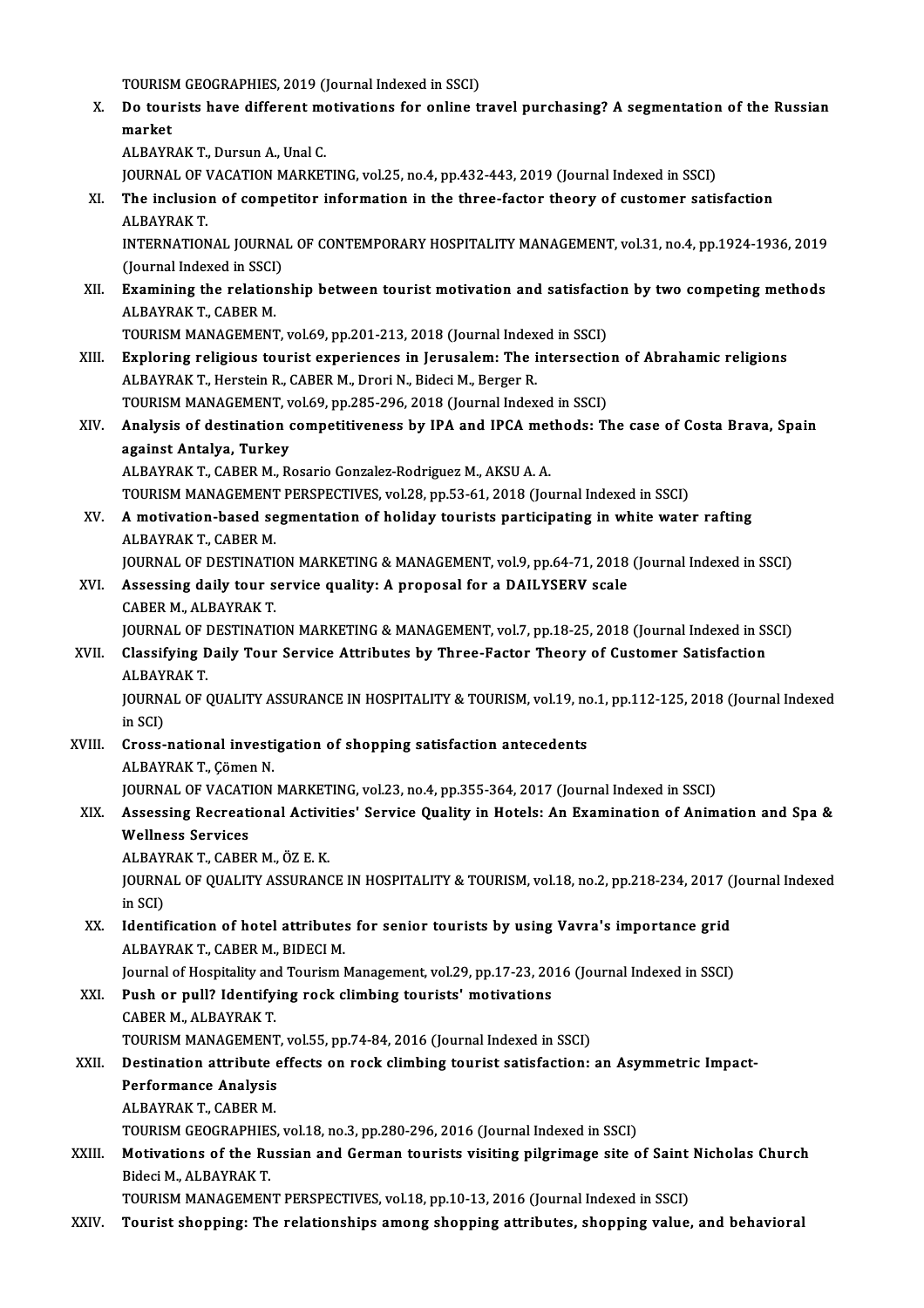- TOURISM GEOGRAPHIES, 2019 (Journal Indexed in SSCI)<br>De teurists have different metivations for enline t X. Do tourists have different motivations for online travel purchasing? A segmentation of the Russian market TOURISM<br>Do tour<br>market ALBAYRAK T., Dursun A., Unal C. market<br>ALBAYRAK T., Dursun A., Unal C.<br>JOURNAL OF VACATION MARKETING, vol.25, no.4, pp.432-443, 2019 (Journal Indexed in SSCI)<br>The inclusion of competitor information in the three factor theory of customer setie ALBAYRAK T., Dursun A., Unal C.<br>JOURNAL OF VACATION MARKETING, vol.25, no.4, pp.432-443, 2019 (Journal Indexed in SSCI)<br>XI. The inclusion of competitor information in the three-factor theory of customer satisfaction<br>ALBAYB **JOURNAL OF V<br>The inclusio:<br>ALBAYRAK T.<br>INTERNATION** The inclusion of competitor information in the three-factor theory of customer satisfaction<br>ALBAYRAK T.<br>INTERNATIONAL JOURNAL OF CONTEMPORARY HOSPITALITY MANAGEMENT, vol.31, no.4, pp.1924-1936, 2019<br>(Journal Indoved in SSC ALBAYRAK T.<br>INTERNATIONAL JOURNAL OF CONTEMPORARY HOSPITALITY MANAGEMENT, vol.31, no.4, pp.1924-1936, 2019<br>(Journal Indexed in SSCI) INTERNATIONAL JOURNAL OF CONTEMPORARY HOSPITALITY MANAGEMENT, vol.31, no.4, pp.1924-1936, 2019<br>(Journal Indexed in SSCI)<br>XII. Examining the relationship between tourist motivation and satisfaction by two competing methods<br> (Journal Indexed in SSCI)<br><mark>Examining the relatio</mark><br>ALBAYRAK T., CABER M.<br>TOUDISM MANACEMENT Examining the relationship between tourist motivation and satisfacti<br>ALBAYRAK T., CABER M.<br>TOURISM MANAGEMENT, vol.69, pp.201-213, 2018 (Journal Indexed in SSCI)<br>Evploring religious tourist experiences in Jorusalem: The in ALBAYRAK T., CABER M.<br>TOURISM MANAGEMENT, vol.69, pp.201-213, 2018 (Journal Indexed in SSCI)<br>XIII. Exploring religious tourist experiences in Jerusalem: The intersection of Abrahamic religions<br>ALBAVBAV T. Horstein B. CABER TOURISM MANAGEMENT, vol.69, pp.201-213, 2018 (Journal Indexed in SSCI)<br>Exploring religious tourist experiences in Jerusalem: The intersectio<br>ALBAYRAK T., Herstein R., CABER M., Drori N., Bideci M., Berger R. Exploring religious tourist experiences in Jerusalem: The intersectio<br>ALBAYRAK T., Herstein R., CABER M., Drori N., Bideci M., Berger R.<br>TOURISM MANAGEMENT, vol.69, pp.285-296, 2018 (Journal Indexed in SSCI)<br>Analysis of de ALBAYRAK T., Herstein R., CABER M., Drori N., Bideci M., Berger R.<br>TOURISM MANAGEMENT, vol.69, pp.285-296, 2018 (Journal Indexed in SSCI)<br>XIV. Analysis of destination competitiveness by IPA and IPCA methods: The case o TOURISM MANAGEMENT, vol.69, pp.285-296, 2018 (Journal Indexed in SSCI)<br>Analysis of destination competitiveness by IPA and IPCA methods: T<br>against Antalya, Turkey<br>ALBAYRAK T., CABER M., Rosario Gonzalez-Rodriguez M., AKSU A Analysis of destination competitiveness by IPA and IPCA met<br>against Antalya, Turkey<br>ALBAYRAK T., CABER M., Rosario Gonzalez-Rodriguez M., AKSU A. A.<br>TOUDISM MANACEMENT PERSPECTIVES, vol.29, pp.52,61,2018 (Jo.) against Antalya, Turkey<br>ALBAYRAK T., CABER M., Rosario Gonzalez-Rodriguez M., AKSU A. A.<br>TOURISM MANAGEMENT PERSPECTIVES, vol.28, pp.53-61, 2018 (Journal Indexed in SSCI)<br>A motivation based segmentation of boliday teurists ALBAYRAK T., CABER M., Rosario Gonzalez-Rodriguez M., AKSU A. A.<br>TOURISM MANAGEMENT PERSPECTIVES, vol.28, pp.53-61, 2018 (Journal Indexed in SSCI)<br>XV. A motivation-based segmentation of holiday tourists participating in wh TOURISM MANAGEMENT<br>A motivation-based se<br>ALBAYRAK T., CABER M.<br>JOUPNAL OF DESTINATI A motivation-based segmentation of holiday tourists participating in white water rafting<br>ALBAYRAK T., CABER M.<br>JOURNAL OF DESTINATION MARKETING & MANAGEMENT, vol.9, pp.64-71, 2018 (Journal Indexed in SSCI)<br>Assessing daily ALBAYRAK T., CABER M.<br>JOURNAL OF DESTINATION MARKETING & MANAGEMENT, vol.9, pp.64-71, 2018<br>XVI. Assessing daily tour service quality: A proposal for a DAILYSERV scale<br>CABER M. ALBAYRAK T. **JOURNAL OF DESTINATI<sup><br>Assessing daily tour s<br>CABER M., ALBAYRAK T.<br>JOUPNAL OF DESTINATI**</sup> Assessing daily tour service quality: A proposal for a DAILYSERV scale<br>CABER M., ALBAYRAK T.<br>JOURNAL OF DESTINATION MARKETING & MANAGEMENT, vol.7, pp.18-25, 2018 (Journal Indexed in SSCI)<br>Classifying Daily Tour Servise Att CABER M., ALBAYRAK T.<br>JOURNAL OF DESTINATION MARKETING & MANAGEMENT, vol.7, pp.18-25, 2018 (Journal Indexed in S.<br>XVII. Classifying Daily Tour Service Attributes by Three-Factor Theory of Customer Satisfaction<br>ALBAYRAK T. **JOURNAL OF I<br>Classifying D<br>ALBAYRAK T.<br>JOUPNAL OF (** Classifying Daily Tour Service Attributes by Three-Factor Theory of Customer Satisfaction<br>ALBAYRAK T.<br>JOURNAL OF QUALITY ASSURANCE IN HOSPITALITY & TOURISM, vol.19, no.1, pp.112-125, 2018 (Journal Indexed<br>in SCD ALBAY<br>JOURNA<br>in SCI)<br>Cross JOURNAL OF QUALITY ASSURANCE IN HOSPITALITY & TOURISM, vol.19, no<br>in SCI)<br>XVIII. Cross-national investigation of shopping satisfaction antecedents<br>ALBAVBAK T. Cômon N in SCI)<br><mark>Cross-national investi</mark><br>ALBAYRAK T., Çömen N.<br>JOUPNAL OF VACATION Cross-national investigation of shopping satisfaction antecedents<br>ALBAYRAK T., Çömen N.<br>JOURNAL OF VACATION MARKETING, vol.23, no.4, pp.355-364, 2017 (Journal Indexed in SSCI)<br>Assessing Beausational Astivities' Servise Qua ALBAYRAK T., Çömen N.<br>JOURNAL OF VACATION MARKETING, vol.23, no.4, pp.355-364, 2017 (Journal Indexed in SSCI)<br>XIX. Assessing Recreational Activities' Service Quality in Hotels: An Examination of Animation and Spa &<br>Wel **JOURNAL OF VACAT<br>Assessing Recreat<br>Wellness Services<br>ALBAVRALT CAPEL** Assessing Recreational Activi<br>Wellness Services<br>ALBAYRAK T., CABER M., ÖZ E. K.<br>JOUPMAL OF OUALITY ASSURANG Wellness Services<br>ALBAYRAK T., CABER M., ÖZ E. K.<br>JOURNAL OF QUALITY ASSURANCE IN HOSPITALITY & TOURISM, vol.18, no.2, pp.218-234, 2017 (Journal Indexed<br>in SCI) ALBAYRAK T., CABER M., ÖZ E. K. JOURNAL OF QUALITY ASSURANCE IN HOSPITALITY & TOURISM, vol.18, no.2, pp.218-234, 2017 (<br>in SCI)<br>XX. Identification of hotel attributes for senior tourists by using Vavra's importance grid<br>ALBAVRAK T. CARER M. RIDECLM in SCI)<br>I<mark>dentification of hotel attribute</mark>:<br>ALBAYRAK T., CABER M., BIDECI M.<br>Journal of Hospitality and Tourism I Identification of hotel attributes for senior tourists by using Vavra's importance grid<br>ALBAYRAK T., CABER M., BIDECI M.<br>Journal of Hospitality and Tourism Management, vol.29, pp.17-23, 2016 (Journal Indexed in SSCI)<br>Push ALBAYRAK T., CABER M., BIDECI M.<br>Journal of Hospitality and Tourism Management, vol.29, pp.17-23, 20<br>XXI. Push or pull? Identifying rock climbing tourists' motivations<br>CABER M. ALBAYRAK T. Journal of Hospitality and<br>Push or pull? Identify:<br>CABER M., ALBAYRAK T.<br>TOUDISM MANACEMENT Push or pull? Identifying rock climbing tourists' motivations<br>CABER M., ALBAYRAK T.<br>TOURISM MANAGEMENT, vol.55, pp.74-84, 2016 (Journal Indexed in SSCI)<br>Destination attribute effects on rock climbing tourist estisfection. CABER M., ALBAYRAK T.<br>TOURISM MANAGEMENT, vol.55, pp.74-84, 2016 (Journal Indexed in SSCI)<br>XXII. Destination attribute effects on rock climbing tourist satisfaction: an Asymmetric Impact-<br>Perfermanee Anelysis **TOURISM MANAGEMENT<br>Destination attribute e<br>Performance Analysis<br>ALBAYBAK T. CABER M Destination attribute<br>Performance Analysis<br>ALBAYRAK T., CABER M.<br>TOUDISM CEOCRADULES** Performance Analysis<br>ALBAYRAK T., CABER M.<br>TOURISM GEOGRAPHIES, vol.18, no.3, pp.280-296, 2016 (Journal Indexed in SSCI) ALBAYRAK T., CABER M.<br>TOURISM GEOGRAPHIES, vol.18, no.3, pp.280-296, 2016 (Journal Indexed in SSCI)<br>XXIII. Motivations of the Russian and German tourists visiting pilgrimage site of Saint Nicholas Church<br>Ridegi M. ALBAYRAK TOURISM GEOGRAPHIES<br>Motivations of the Ru<br>Bideci M., ALBAYRAK T.<br>TOUDISM MANACEMEN Motivations of the Russian and German tourists visiting pilgrimage site of Saint<br>Bideci M., ALBAYRAK T.<br>TOURISM MANAGEMENT PERSPECTIVES, vol.18, pp.10-13, 2016 (Journal Indexed in SSCI)<br>Tourist shopping: The relationships Bideci M., ALBAYRAK T.<br>TOURISM MANAGEMENT PERSPECTIVES, vol.18, pp.10-13, 2016 (Journal Indexed in SSCI)<br>XXIV. Tourist shopping: The relationships among shopping attributes, shopping value, and behavioral
-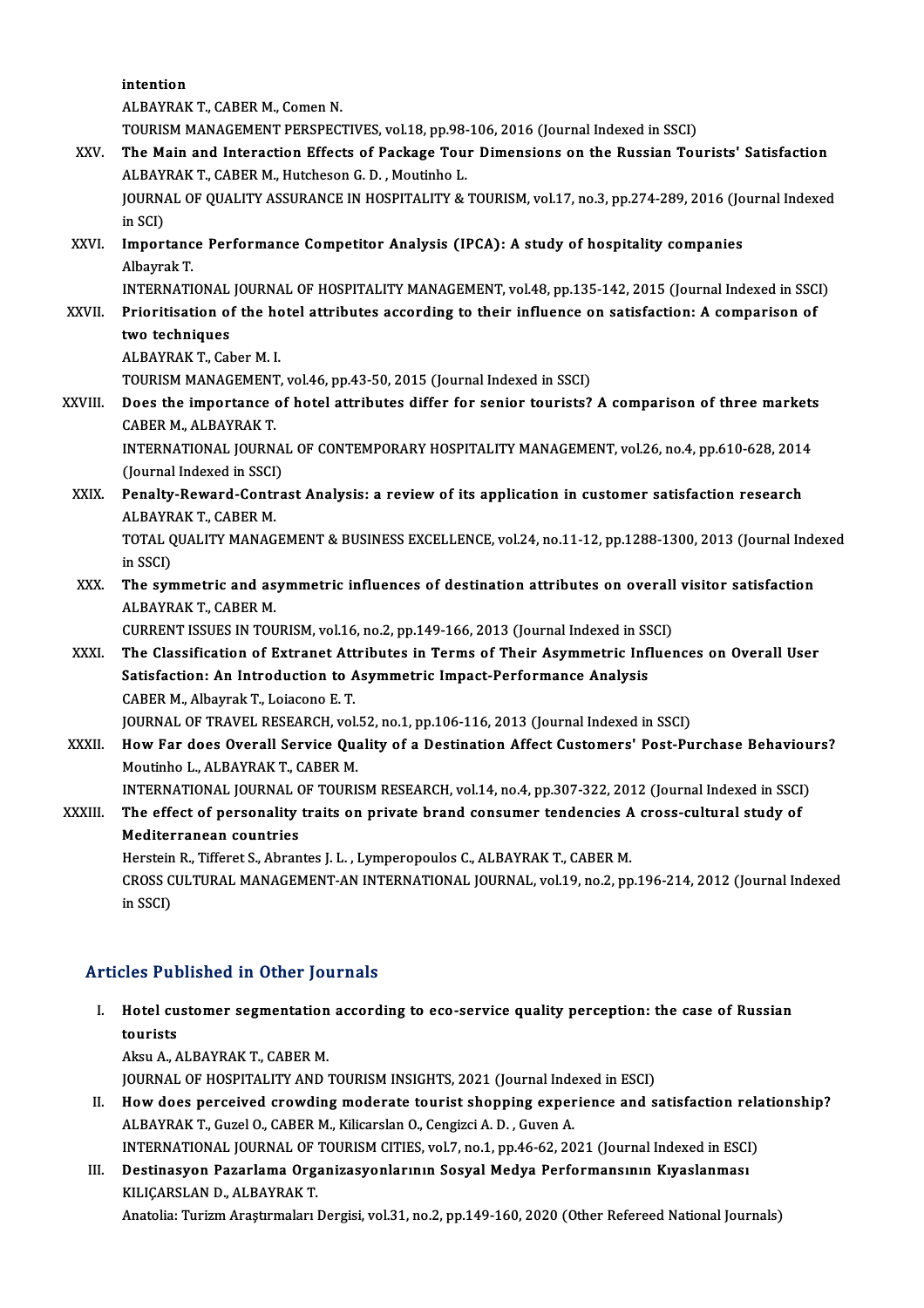intention ALBAYRAK T., CABER M., Comen N. TOURISM MANAGEMENT PERSPECTIVES, vol.18, pp.98-106, 2016 (Journal Indexed in SSCI) ALBAYRAK T., CABER M., Comen N.<br>TOURISM MANAGEMENT PERSPECTIVES, vol.18, pp.98-106, 2016 (Journal Indexed in SSCI)<br>XXV. The Main and Interaction Effects of Package Tour Dimensions on the Russian Tourists' Satisfaction TOURISM MANAGEMENT PERSPECTIVES, vol.18, pp.98-<br>The Main and Interaction Effects of Package Tou:<br>ALBAYRAK T., CABER M., Hutcheson G. D. , Moutinho L.<br>JOUPNAL OF OUALITY ASSUPANCE IN HOSPITALITY & JOURNAL OF QUALITY ASSURANCE IN HOSPITALITY & TOURISM, vol.17, no.3, pp.274-289, 2016 (Journal Indexed in SCI) ALBAYRAK T., CABER M., Hutcheson G. D., Moutinho L. JOURNAL OF QUALITY ASSURANCE IN HOSPITALITY & TOURISM, vol.17, no.3, pp.274-289, 2016 (Jo<br>in SCI)<br>XXVI. Importance Performance Competitor Analysis (IPCA): A study of hospitality companies<br>Alberrak T in SCI)<br><mark>Importanc</mark><br>Albayrak T.<br>INTEPNATI Importance Performance Competitor Analysis (IPCA): A study of hospitality companies<br>Albayrak T.<br>INTERNATIONAL JOURNAL OF HOSPITALITY MANAGEMENT, vol.48, pp.135-142, 2015 (Journal Indexed in SSCI)<br>Prioritication of the hote Albayrak T.<br>INTERNATIONAL JOURNAL OF HOSPITALITY MANAGEMENT, vol.48, pp.135-142, 2015 (Journal Indexed in SSC<br>XXVII. Prioritisation of the hotel attributes according to their influence on satisfaction: A comparison of<br>two INTERNATIONAL<br>Prioritisation of<br>two techniques<br>ALBAVBAK T-Col Prioritisation of the hot<br>two techniques<br>ALBAYRAK T., Caber M. I.<br>TOUDISM MANACEMENT two techniques<br>ALBAYRAK T., Caber M. I.<br>TOURISM MANAGEMENT, vol.46, pp.43-50, 2015 (Journal Indexed in SSCI)<br>Doss the importance of botal ettributes differ for senior teurists? ALBAYRAK T., Caber M. I.<br>TOURISM MANAGEMENT, vol.46, pp.43-50, 2015 (Journal Indexed in SSCI)<br>XXVIII. Does the importance of hotel attributes differ for senior tourists? A comparison of three markets<br>CABER M. ALBAYRAK T TOURISM MANAGEMENT<br>Does the importance<br>CABER M., ALBAYRAK T.<br>INTERNATIONAL JOURN Does the importance of hotel attributes differ for senior tourists? A comparison of three markets<br>CABER M., ALBAYRAK T.<br>INTERNATIONAL JOURNAL OF CONTEMPORARY HOSPITALITY MANAGEMENT, vol.26, no.4, pp.610-628, 2014<br>(Jaurnal CABER M., ALBAYRAK T.<br>INTERNATIONAL JOURNAL OF CONTEMPORARY HOSPITALITY MANAGEMENT, vol.26, no.4, pp.610-628, 2014<br>(Journal Indexed in SSCI) XXIX. Penalty-Reward-Contrast Analysis: a review of its application in customer satisfaction research (Journal Indexed in SSCI)<br>Penalty-Reward-Contr<br>ALBAYRAK T., CABER M.<br>TOTAL OUALITY MANAC TOTAL QUALITY MANAGEMENT & BUSINESS EXCELLENCE, vol.24, no.11-12, pp.1288-1300, 2013 (Journal Indexed<br>in SSCI) ALBAYR<br>TOTAL Q<br>in SSCI)<br>The sun TOTAL QUALITY MANAGEMENT & BUSINESS EXCELLENCE, vol.24, no.11-12, pp.1288-1300, 2013 (Journal Inde<br>in SSCI)<br>XXX. The symmetric and asymmetric influences of destination attributes on overall visitor satisfaction<br>ALBAVBAK T. in SSCI)<br><mark>The symmetric and as</mark><br>ALBAYRAK T., CABER M.<br>CURRENT ISSUES IN TOU The symmetric and asymmetric influences of destination attributes on overall<br>ALBAYRAK T., CABER M.<br>CURRENT ISSUES IN TOURISM, vol.16, no.2, pp.149-166, 2013 (Journal Indexed in SSCI)<br>The Classification of Extranct Attribut ALBAYRAK T., CABER M.<br>CURRENT ISSUES IN TOURISM, vol.16, no.2, pp.149-166, 2013 (Journal Indexed in SSCI)<br>XXXI. The Classification of Extranet Attributes in Terms of Their Asymmetric Influences on Overall User<br>Satisfaction CURRENT ISSUES IN TOURISM, vol.16, no.2, pp.149-166, 2013 (Journal Indexed in SS<br>The Classification of Extranet Attributes in Terms of Their Asymmetric Inf<br>Satisfaction: An Introduction to Asymmetric Impact-Performance Ana The Classification of Extranet Att<br>Satisfaction: An Introduction to A<br>CABER M., Albayrak T., Loiacono E. T.<br>JOUPMAL OF TRAVEL BESEARCH vol Satisfaction: An Introduction to Asymmetric Impact-Performance Analysis<br>CABER M., Albayrak T., Loiacono E. T.<br>JOURNAL OF TRAVEL RESEARCH, vol.52, no.1, pp.106-116, 2013 (Journal Indexed in SSCI)<br>How For does Overall Servis CABER M., Albayrak T., Loiacono E. T.<br>JOURNAL OF TRAVEL RESEARCH, vol.52, no.1, pp.106-116, 2013 (Journal Indexed in SSCI)<br>XXXII. How Far does Overall Service Quality of a Destination Affect Customers' Post-Purchase Behavi JOURNAL OF TRAVEL RESEARCH, vol.<br>How Far does Overall Service Qua<br>Moutinho L., ALBAYRAK T., CABER M.<br>INTERNATIONAL JOURNAL OF TOUR'S How Far does Overall Service Quality of a Destination Affect Customers' Post-Purchase Behaviou<br>Moutinho L., ALBAYRAK T., CABER M.<br>INTERNATIONAL JOURNAL OF TOURISM RESEARCH, vol.14, no.4, pp.307-322, 2012 (Journal Indexed i Moutinho L., ALBAYRAK T., CABER M.<br>INTERNATIONAL JOURNAL OF TOURISM RESEARCH, vol.14, no.4, pp.307-322, 2012 (Journal Indexed in SSCI<br>XXXIII. The effect of personality traits on private brand consumer tendencies A cros INTERNATIONAL JOURNAL (<br>The effect of personality<br>Mediterranean countries<br>Herstein B. Tifferst S. Ahnan The effect of personality traits on private brand consumer tendencies A cross-cultural study of Mediterranean countries CROSS CULTURAL MANAGEMENT-AN INTERNATIONAL JOURNAL, vol.19, no.2, pp.196-214, 2012 (Journal Indexed<br>in SSCI) Herstein R., Tifferet S., Abrantes J. L., Lymperopoulos C., ALBAYRAK T., CABER M.

### Articles Published in Other Journals

rticles Published in Other Journals<br>I. Hotel customer segmentation according to eco-service quality perception: the case of Russian<br>tourists  $H$ otel cu<br>tourists<br> $\Delta$ ksu $\Delta$ Hotel customer segmentation<br>tourists<br>Aksu A., ALBAYRAK T., CABER M.<br>JOUPMAL OF HOSPITALITY AND I

tourists<br>Aksu A., ALBAYRAK T., CABER M.<br>JOURNAL OF HOSPITALITY AND TOURISM INSIGHTS, 2021 (Journal Indexed in ESCI)<br>How does perseived crowding moderate tourist shepping experience and a Aksu A., ALBAYRAK T., CABER M.<br>JOURNAL OF HOSPITALITY AND TOURISM INSIGHTS, 2021 (Journal Indexed in ESCI)<br>II. How does perceived crowding moderate tourist shopping experience and satisfaction relationship?<br>ALBAYRAK T. Cur

- JOURNAL OF HOSPITALITY AND TOURISM INSIGHTS, 2021 (Journal Inde<br>How does perceived crowding moderate tourist shopping exper<br>ALBAYRAK T., Guzel O., CABER M., Kilicarslan O., Cengizci A. D. , Guven A.<br>INTERNATIONAL JOURNAL O How does perceived crowding moderate tourist shopping experience and satisfaction rela<br>ALBAYRAK T., Guzel O., CABER M., Kilicarslan O., Cengizci A. D. , Guven A.<br>INTERNATIONAL JOURNAL OF TOURISM CITIES, vol.7, no.1, pp.46-INTERNATIONAL JOURNAL OF TOURISM CITIES, vol.7, no.1, pp.46-62, 2021 (Journal Indexed in ESCI)
- ALBAYRAK T., Guzel O., CABER M., Kilicarslan O., Cengizci A. D. , Guven A.<br>INTERNATIONAL JOURNAL OF TOURISM CITIES, vol.7, no.1, pp.46-62, 2021 (Journal Indexed in ESCI<br>III. Destinasyon Pazarlama Organizasyonlarının So Anatolia: Turizm Araştırmaları Dergisi, vol.31, no.2, pp.149-160, 2020 (Other Refereed National Journals)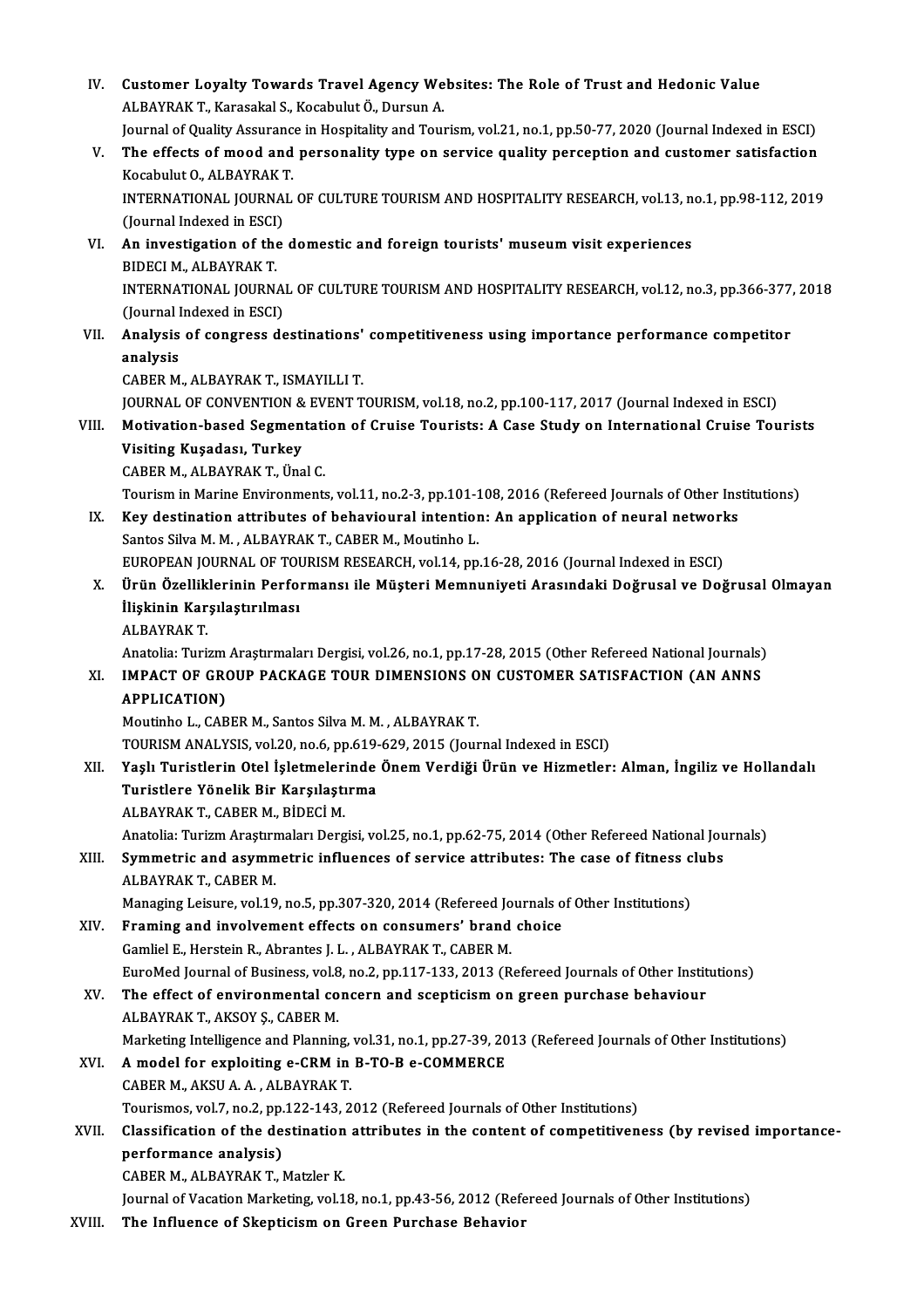IV. Customer Loyalty Towards Travel Agency Websites: The Role of Trust and Hedonic Value<br>ALRAVRAK T. Karasakal S. Kasabulut Ö. Dursun A Customer Loyalty Towards Travel Agency We<br>ALBAYRAK T., Karasakal S., Kocabulut Ö., Dursun A.<br>Journal of Quality Aggurance in Hoepitality and Tour Customer Loyalty Towards Travel Agency Websites: The Role of Trust and Hedonic Value<br>ALBAYRAK T., Karasakal S., Kocabulut Ö., Dursun A.<br>Journal of Quality Assurance in Hospitality and Tourism, vol.21, no.1, pp.50-77, 2020 ALBAYRAK T., Karasakal S., Kocabulut Ö., Dursun A.<br>Journal of Quality Assurance in Hospitality and Tourism, vol.21, no.1, pp.50-77, 2020 (Journal Indexed in ESCI)<br>V. The effects of mood and personality type on service qual **Journal of Quality Assuranc<br>The effects of mood and<br>Kocabulut O., ALBAYRAK T.<br>INTERNATIONAL JOURNAL** The effects of mood and personality type on service quality perception and customer satisfaction<br>Kocabulut O., ALBAYRAK T.<br>INTERNATIONAL JOURNAL OF CULTURE TOURISM AND HOSPITALITY RESEARCH, vol.13, no.1, pp.98-112, 2019<br>(J Kocabulut O., ALBAYRAK T.<br>INTERNATIONAL JOURNAL OF CULTURE TOURISM AND HOSPITALITY RESEARCH, vol.13, no.1, pp.98-112, 2019<br>(Journal Indexed in ESCI) INTERNATIONAL JOURNAL OF CULTURE TOURISM AND HOSPITALITY RESEARCH, vol.13, n<br>(Journal Indexed in ESCI)<br>VI. An investigation of the domestic and foreign tourists' museum visit experiences<br>PIDECLM ALPAYPAKT (Journal Indexed in ESCI)<br>An investigation of the<br>BIDECI M., ALBAYRAK T.<br>INTERNATIONAL JOURN. An investigation of the domestic and foreign tourists' museum visit experiences<br>BIDECI M., ALBAYRAK T.<br>INTERNATIONAL JOURNAL OF CULTURE TOURISM AND HOSPITALITY RESEARCH, vol.12, no.3, pp.366-377, 2018<br>(Journal Indoved in E BIDECI M., ALBAYRAK T.<br>INTERNATIONAL JOURNA<br>(Journal Indexed in ESCI)<br>Analysis of songross de INTERNATIONAL JOURNAL OF CULTURE TOURISM AND HOSPITALITY RESEARCH, vol.12, no.3, pp.366-377<br>(Journal Indexed in ESCI)<br>VII. Analysis of congress destinations' competitiveness using importance performance competitor<br>analysis (Journal Indexed in ESCI)<br>VII. Analysis of congress destinations' competitiveness using importance performance competitor<br>analysis CABERM.,ALBAYRAKT., ISMAYILLIT. analysis<br>CABER M., ALBAYRAK T., ISMAYILLI T.<br>JOURNAL OF CONVENTION & EVENT TOURISM, vol.18, no.2, pp.100-117, 2017 (Journal Indexed in ESCI)<br>Motivation hased Segmentation of Cruise Tourists: A Gees Study on International C CABER M., ALBAYRAK T., ISMAYILLI T.<br>JOURNAL OF CONVENTION & EVENT TOURISM, vol.18, no.2, pp.100-117, 2017 (Journal Indexed in ESCI)<br>VIII. Motivation-based Segmentation of Cruise Tourists: A Case Study on International Crui JOURNAL OF CONVENTION &<br>Motivation-based Segmen<br>Visiting Kuşadası, Turkey<br>CABER M. ALBAYBAK T. Üng Motivation-based Segmentati<br>Visiting Kuşadası, Turkey<br>CABER M., ALBAYRAK T., Ünal C.<br>Teuriam in Marine Envirenments Visiting Kuşadası, Turkey<br>CABER M., ALBAYRAK T., Ünal C.<br>Tourism in Marine Environments, vol.11, no.2-3, pp.101-108, 2016 (Refereed Journals of Other Institutions) CABER M., ALBAYRAK T., Ünal C.<br>Tourism in Marine Environments, vol.11, no.2-3, pp.101-108, 2016 (Refereed Journals of Other Ins<br>IX. Key destination attributes of behavioural intention: An application of neural networks<br>Sen Tourism in Marine Environments, vol.11, no.2-3, pp.101-1<br>Key destination attributes of behavioural intention<br>Santos Silva M. M. , ALBAYRAK T., CABER M., Moutinho L.<br>FUROPEAN JOURNAL OF TOURISM RESEARCH, vol.14, nn Key destination attributes of behavioural intention: An application of neural network<br>Santos Silva M. M., ALBAYRAK T., CABER M., Moutinho L.<br>EUROPEAN JOURNAL OF TOURISM RESEARCH, vol.14, pp.16-28, 2016 (Journal Indexed in Santos Silva M. M. , ALBAYRAK T., CABER M., Moutinho L.<br>EUROPEAN JOURNAL OF TOURISM RESEARCH, vol.14, pp.16-28, 2016 (Journal Indexed in ESCI)<br>X. Ürün Özelliklerinin Performansı ile Müşteri Memnuniyeti Arasındaki Doğru EUROPEAN JOURNAL OF TOU<br>Ürün Özelliklerinin Perfo<br>İlişkinin Karşılaştırılması<br>ALBAVBAK T Ürün Özellik<br>İlişkinin Kar<br>ALBAYRAK T. İlişkinin Karşılaştırılması<br>ALBAYRAK T.<br>Anatolia: Turizm Araştırmaları Dergisi, vol.26, no.1, pp.17-28, 2015 (Other Refereed National Journals)<br>IMBACT OF CROUR RACKACE TOUR DIMENSIONS ON CUSTOMER SATISEACTION (AN ANNS ALBAYRAK T.<br>Anatolia: Turizm Araştırmaları Dergisi, vol.26, no.1, pp.17-28, 2015 (Other Refereed National Journals)<br>XI. IMPACT OF GROUP PACKAGE TOUR DIMENSIONS ON CUSTOMER SATISFACTION (AN ANNS<br>APPLICATION) Anatolia: Turizm<br>IMPACT OF GRO<br>APPLICATION)<br>Moutinho L. CAP Moutinho L., CABER M., Santos Silva M. M., ALBAYRAK T. APPLICATION)<br>Moutinho L., CABER M., Santos Silva M. M. , ALBAYRAK T.<br>TOURISM ANALYSIS, vol.20, no.6, pp.619-629, 2015 (Journal Indexed in ESCI)<br>Yosk Turistlerin Otel İskimalerinde Önem Verdiği Ürün ve Hizmetler XII. Yaşlı Turistlerin Otel İşletmelerinde Önem Verdiği Ürün ve Hizmetler: Alman, İngiliz ve Hollandalı TOURISM ANALYSIS, vol.20, no.6, pp.619-<br>Yaşlı Turistlerin Otel İşletmelerinde<br>Turistlere Yönelik Bir Karşılaştırma<br>ALBAYRAKT CABER M. BİDECİ M Turistlere Yönelik Bir Karşılaştırma<br>ALBAYRAK T., CABER M., BİDECİ M. Turistlere Yönelik Bir Karşılaştırma<br>ALBAYRAK T., CABER M., BİDECİ M.<br>Anatolia: Turizm Araştırmaları Dergisi, vol.25, no.1, pp.62-75, 2014 (Other Refereed National Journals)<br>Symmetria and asymmetria influences of servise e ALBAYRAK T., CABER M., BİDECİ M.<br>Anatolia: Turizm Araştırmaları Dergisi, vol.25, no.1, pp.62-75, 2014 (Other Refereed National Jou<br>XIII. Symmetric and asymmetric influences of service attributes: The case of fitness clubs<br> Anatolia: Turizm Araştırı<br>Symmetric and asymm<br>ALBAYRAK T., CABER M.<br>Manasing Leigure yol 10 Symmetric and asymmetric influences of service attributes: The case of fitness clubs<br>ALBAYRAK T., CABER M.<br>Managing Leisure, vol.19, no.5, pp.307-320, 2014 (Refereed Journals of Other Institutions) ALBAYRAK T., CABER M.<br>Managing Leisure, vol.19, no.5, pp.307-320, 2014 (Refereed Journals of<br>XIV. Framing and involvement effects on consumers' brand choice<br>Camliel E. Herstein B. Abrantes L.L., ALBAYRAK T. CARER M Managing Leisure, vol.19, no.5, pp.307-320, 2014 (Refereed Jone Traming and involvement effects on consumers' brand<br>Gamliel E., Herstein R., Abrantes J. L. , ALBAYRAK T., CABER M.<br>EuroMed Journal of Pusiness vol.8, no.2, n Gamliel E., Herstein R., Abrantes J. L., ALBAYRAK T., CABER M.<br>EuroMed Journal of Business, vol.8, no.2, pp.117-133, 2013 (Refereed Journals of Other Institutions) Gamliel E., Herstein R., Abrantes J. L. , ALBAYRAK T., CABER M.<br>EuroMed Journal of Business, vol.8, no.2, pp.117-133, 2013 (Refereed Journals of Other Instit<br>XV. The effect of environmental concern and scepticism on green EuroMed Journal of Business, vol.8<br>The effect of environmental co<br>ALBAYRAK T., AKSOY Ş., CABER M.<br>Marketing Intelligence and Blannin The effect of environmental concern and scepticism on green purchase behaviour<br>ALBAYRAK T., AKSOY Ş., CABER M.<br>Marketing Intelligence and Planning, vol.31, no.1, pp.27-39, 2013 (Refereed Journals of Other Institutions)<br>A m ALBAYRAK T., AKSOY Ş., CABER M.<br>Marketing Intelligence and Planning, vol.31, no.1, pp.27-39, 20<br>XVI. A model for exploiting e-CRM in B-TO-B e-COMMERCE Marketing Intelligence and Planning,<br>**A model for exploiting e-CRM in**<br>CABER M., AKSU A. A., ALBAYRAK T.<br>Tourismes vol 7, no 2, nn 122, 142, 2 A model for exploiting e-CRM in B-TO-B e-COMMERCE<br>CABER M., AKSU A. A. , ALBAYRAK T.<br>Tourismos, vol.7, no.2, pp.122-143, 2012 (Refereed Journals of Other Institutions)<br>Classification of the destination attributes in the se CABER M., AKSU A. A. , ALBAYRAK T.<br>Tourismos, vol.7, no.2, pp.122-143, 2012 (Refereed Journals of Other Institutions)<br>XVII. Classification of the destination attributes in the content of competitiveness (by revised importa Tourismos, vol.7, no.2, pp.<br>Classification of the de<br>performance analysis)<br>CAPER M. ALPAYRAK T. 1 Classification of the destination<br>performance analysis)<br>CABER M., ALBAYRAK T., Matzler K.<br>Journal of Vesstion Marksting vol.1 performance analysis)<br>CABER M., ALBAYRAK T., Matzler K.<br>Journal of Vacation Marketing, vol.18, no.1, pp.43-56, 2012 (Refereed Journals of Other Institutions) XVIII. The Influence of Skepticism on Green Purchase Behavior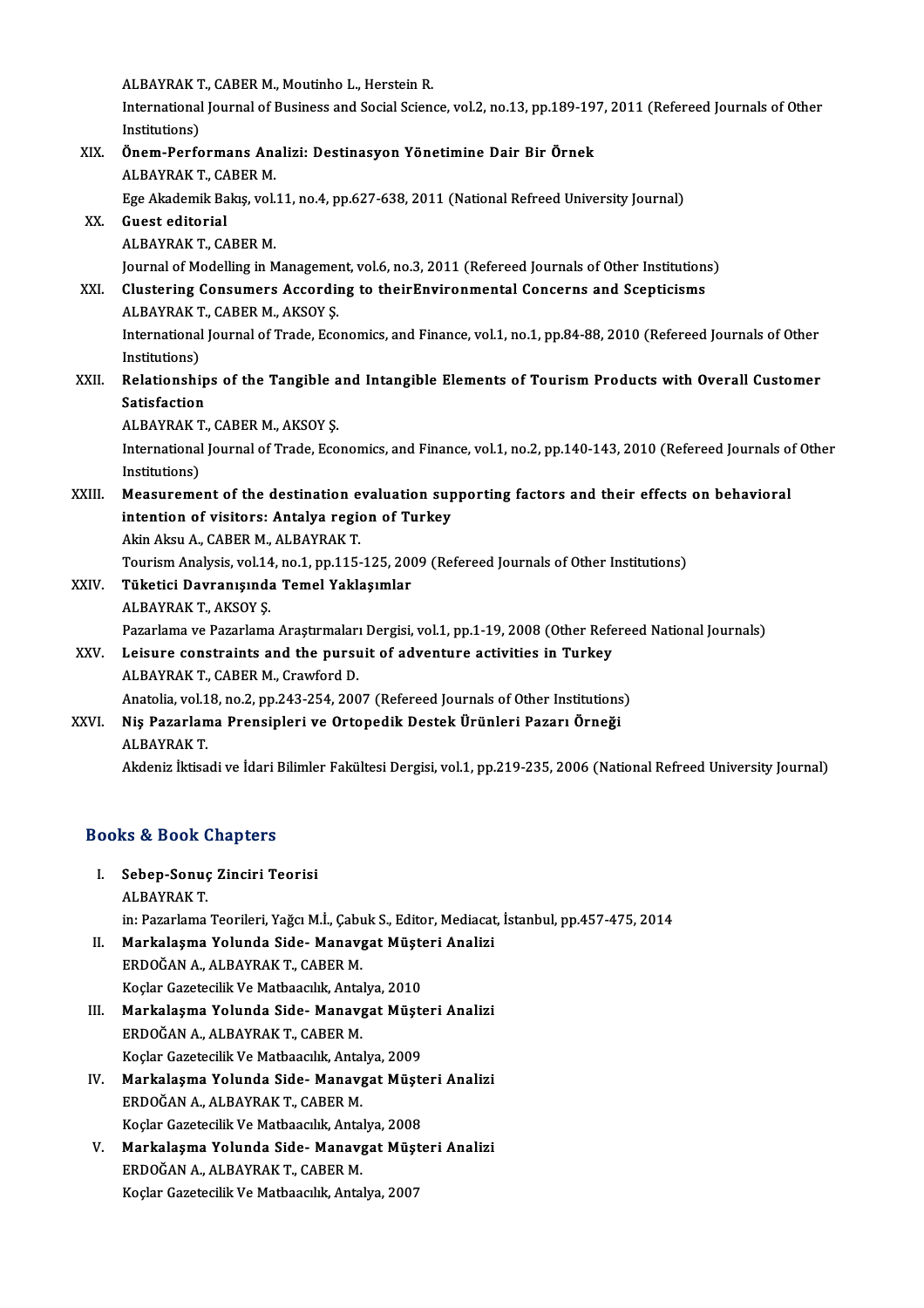ALBAYRAK T., CABER M., Moutinho L., Herstein R.<br>International Journal of Business and Social Scien

International Journal of Business and Social Science, vol.2, no.13, pp.189-197, 2011 (Refereed Journals of Other<br>Institutions) ALBAYRAK T<br>International<br>Institutions)<br>Önem Perfe International Journal of Business and Social Science, vol.2, no.13, pp.189-19<br>Institutions)<br>XIX. Önem-Performans Analizi: Destinasyon Yönetimine Dair Bir Örnek<br>ALBAVRAKT GABERM

### Institutions)<br>**Önem-Performans An**a<br>ALBAYRAK T., CABER M.<br>Fge Akademik Bakıs vel Önem-Performans Analizi: Destinasyon Yönetimine Dair Bir Örnek<br>ALBAYRAK T., CABER M.<br>Ege Akademik Bakış, vol.11, no.4, pp.627-638, 2011 (National Refreed University Journal)<br>Cuest editerial ALBAYRAK T., CABER M.<br>Ege Akademik Bakış, vol.<br>XX. Guest editorial<br>ALBAYRAK T., CABER M. Ege Akademik Bakış, vol.<br>Guest editorial<br>ALBAYRAK T., CABER M.<br>Journal of Modelling in M Guest editorial<br>ALBAYRAK T., CABER M.<br>Journal of Modelling in Management, vol.6, no.3, 2011 (Refereed Journals of Other Institutions)<br>Clustering Consumers Assording to theirEnvironmental Conserns and Ssentisisms XXI. Clustering Consumers According to theirEnvironmental Concerns and Scepticisms Journal of Modelling in Managemer<br>Clustering Consumers Accordin<br>ALBAYRAK T., CABER M., AKSOY Ş.<br>International Journal of Trade, Esc ALBAYRAK T., CABER M., AKSOY S.

International Journal of Trade, Economics, and Finance, vol.1, no.1, pp.84-88, 2010 (Refereed Journals of Other<br>Institutions) International Journal of Trade, Economics, and Finance, vol.1, no.1, pp.84-88, 2010 (Refereed Journals of Other<br>Institutions)<br>XXII. Relationships of the Tangible and Intangible Elements of Tourism Products with Overall Cus

Institutions)<br>Relationship<br>Satisfaction<br>ALPAVPAKT Relationships of the Tangible a<br>Satisfaction<br>ALBAYRAK T., CABER M., AKSOY Ş.<br>International Journal of Trade, Esc

Satisfaction<br>ALBAYRAK T., CABER M., AKSOY Ş.<br>International Journal of Trade, Economics, and Finance, vol.1, no.2, pp.140-143, 2010 (Refereed Journals of Other ALBAYRAK<br>International<br>Institutions)<br>Measurama International Journal of Trade, Economics, and Finance, vol.1, no.2, pp.140-143, 2010 (Refereed Journals of<br>Institutions)<br>XXIII. Measurement of the destination evaluation supporting factors and their effects on behavioral<br>

### Institutions)<br>Measurement of the destination evaluation sup<br>intention of visitors: Antalya region of Turkey Measurement of the destination e<br>intention of visitors: Antalya region<br>Akin Aksu A., CABER M., ALBAYRAK T.<br>Touriem Anglysis vol 14, no 1, nn 115. intention of visitors: Antalya region of Turkey<br>Akin Aksu A., CABER M., ALBAYRAK T.<br>Tourism Analysis, vol.14, no.1, pp.115-125, 2009 (Refereed Journals of Other Institutions)<br>Tüketisi Dayranısında Tamal Vaklasımlar

## Akin Aksu A., CABER M., ALBAYRAK T.<br>Tourism Analysis, vol.14, no.1, pp.115-125, 20<br>XXIV. Tüketici Davranışında Temel Yaklaşımlar<br>ALBAYRAK T., AKSOY S. Tourism Analysis, vol.14<br>Tüketici Davranışında<br>ALBAYRAK T., AKSOY Ş.<br>Pararlama ve Pararlama

Tüketici Davranışında Temel Yaklaşımlar<br>ALBAYRAK T., AKSOY Ş.<br>Pazarlama ve Pazarlama Araştırmaları Dergisi, vol.1, pp.1-19, 2008 (Other Refereed National Journals)<br>Leisure senstraints and the nursuit of adventure astivitie

### XXV. Leisure constraints and the pursuit of adventure activities in Turkey<br>ALBAYRAK T. CABER M. Crawford D. Pazarlama ve Pazarlama Araştırmaları<br>Leisure constraints and the pursu<br>ALBAYRAK T., CABER M., Crawford D.<br>Anatalia val 18 no 2 nn 242 254 200

Anatolia, vol.18, no.2, pp.243-254, 2007 (Refereed Journals of Other Institutions)

## ALBAYRAK T., CABER M., Crawford D.<br>Anatolia, vol.18, no.2, pp.243-254, 2007 (Refereed Journals of Other Institutions<br>XXVI. Niş Pazarlama Prensipleri ve Ortopedik Destek Ürünleri Pazarı Örneği Anatolia, vol.1<br><mark>Niş Pazarlan</mark><br>ALBAYRAK T.

ALBAYRAK T.<br>Akdeniz İktisadi ve İdari Bilimler Fakültesi Dergisi, vol.1, pp.219-235, 2006 (National Refreed University Journal)

### Books&Book Chapters

OOks & Book Chapters<br>I. Sebep-Sonuç Zinciri Teorisi<br>ALBAYBAKT 19 & Been<br>Sebep-Sonuç<br>ALBAYRAK T.<br>in: Pazarlama

ALBAYRAK T.<br>in: Pazarlama Teorileri, Yağcı M.İ., Çabuk S., Editor, Mediacat, İstanbul, pp.457-475, 2014

- ALBAYRAK T.<br>in: Pazarlama Teorileri, Yağcı M.İ., Çabuk S., Editor, Mediacat<br>II. Markalaşma Yolunda Side-Manavgat Müşteri Analizi<br>EPDOČAN A. ALBAYRAK T. CARER M in: Pazarlama Teorileri, Yağcı M.İ., Çabı<br><mark>Markalaşma Yolunda Side- Manav</mark><br>ERDOĞAN A., ALBAYRAK T., CABER M.<br>Koslar Gazatesilik Ve Mathaasılık Anta Markalaşma Yolunda Side- Manavgat Müşte<br>ERDOĞAN A., ALBAYRAK T., CABER M.<br>Koçlar Gazetecilik Ve Matbaacılık, Antalya, 2010<br>Markalasma Yolunda Side, Manaygat Müşte ERDOĞAN A., ALBAYRAK T., CABER M.<br>Koçlar Gazetecilik Ve Matbaacılık, Antalya, 2010<br>III. Markalaşma Yolunda Side-Manavgat Müşteri Analizi<br>EPDOĞAN A. ALBAYRAK T. CABER M
- Koçlar Gazetecilik Ve Matbaacılık, Antal<br>Markalaşma Yolunda Side- Manavş<br>ERDOĞAN A., ALBAYRAK T., CABER M.<br>Koslar Gazetesilik Ve Matbaasılık, Antal Markalaşma Yolunda Side- Manavgat Müşte<br>ERDOĞAN A., ALBAYRAK T., CABER M.<br>Koçlar Gazetecilik Ve Matbaacılık, Antalya, 2009<br>Markalasma Yolunda Side, Manaygat Müşte ERDOĞAN A., ALBAYRAK T., CABER M.<br>Koçlar Gazetecilik Ve Matbaacılık, Antalya, 2009<br>IV. Markalaşma Yolunda Side-Manavgat Müşteri Analizi<br>EPDOĞAN A. ALBAYRAK T. CABER M
- Koçlar Gazetecilik Ve Matbaacılık, Antal<br>Markalaşma Yolunda Side- Manavş<br>ERDOĞAN A., ALBAYRAK T., CABER M.<br>Koslar Gazatesilik Ve Matbaasılık, Antal Markalaşma Yolunda Side- Manavgat Müşte<br>ERDOĞAN A., ALBAYRAK T., CABER M.<br>Koçlar Gazetecilik Ve Matbaacılık, Antalya, 2008<br>Markalasma Yolunda Side, Manaygat Müşte ERDOĞAN A., ALBAYRAK T., CABER M.<br>Koçlar Gazetecilik Ve Matbaacılık, Antalya, 2008<br>V. Markalaşma Yolunda Side-Manavgat Müşteri Analizi<br>ERDOĞAN A. ALBAYRAK T. GABER M
- Koçlar Gazetecilik Ve Matbaacılık, Antalya, 2008<br>Markalaşma Yolunda Side- Manavgat Müşt<br>ERDOĞAN A., ALBAYRAK T., CABER M.<br>Koçlar Gazetecilik Ve Matbaacılık, Antalya, 2007 <mark>Markalaşma Yolunda Side- Manavgat Müşt</mark><br>ERDOĞAN A., ALBAYRAK T., CABER M.<br>Koçlar Gazetecilik Ve Matbaacılık, Antalya, 2007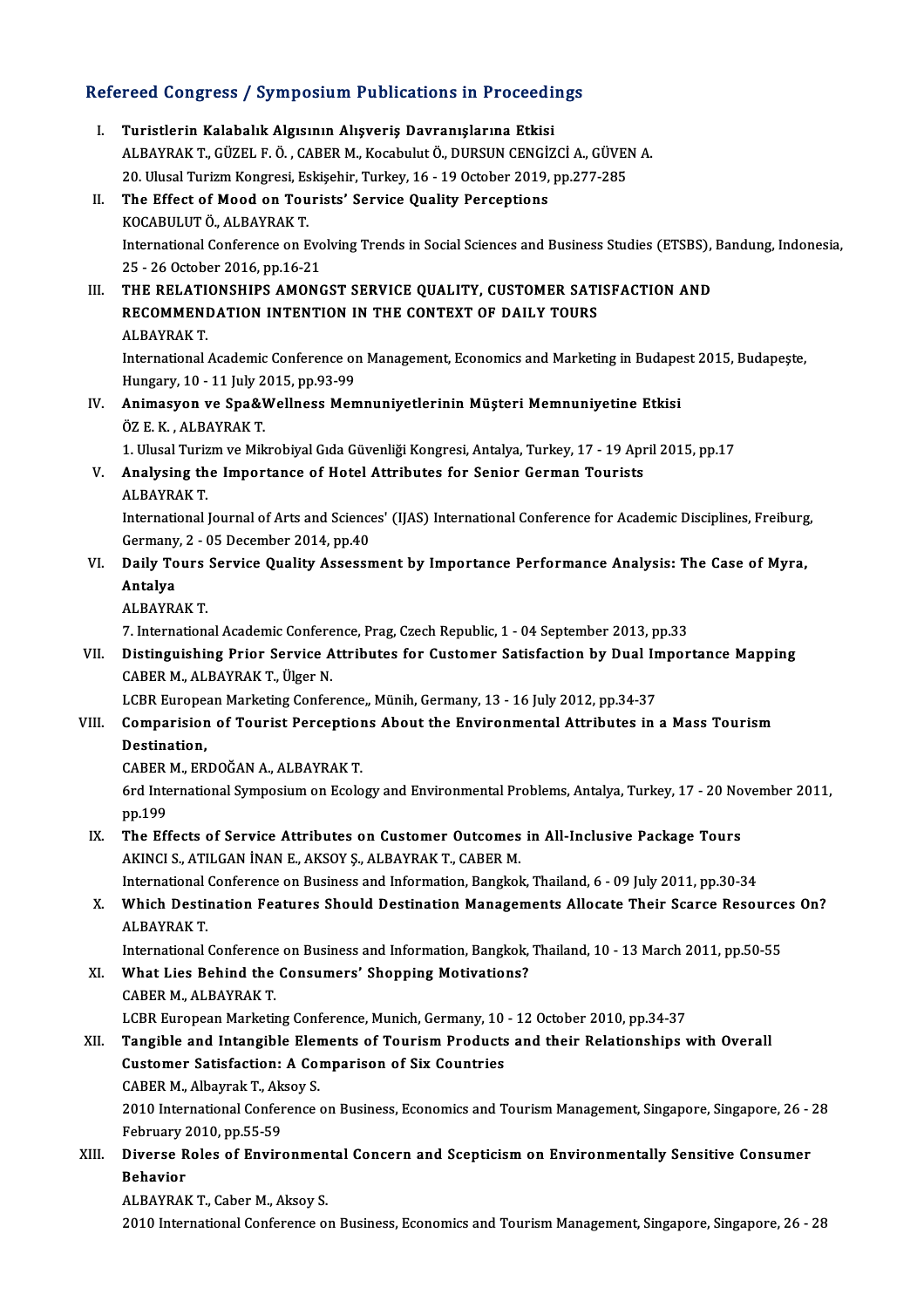# Refereed Congress / Symposium Publications in Proceedings<br>Refereed Congress / Symposium Publications in Proceedings

| Refereed Congress / Symposium Publications in Proceedings |                                                                                                                                                                |
|-----------------------------------------------------------|----------------------------------------------------------------------------------------------------------------------------------------------------------------|
| Ι.                                                        | Turistlerin Kalabalık Algısının Alışveriş Davranışlarına Etkisi                                                                                                |
|                                                           | ALBAYRAK T., GÜZEL F. Ö., CABER M., Kocabulut Ö., DURSUN CENGİZCİ A., GÜVEN A.                                                                                 |
|                                                           | 20. Ulusal Turizm Kongresi, Eskişehir, Turkey, 16 - 19 October 2019, pp.277-285                                                                                |
| П.                                                        | The Effect of Mood on Tourists' Service Quality Perceptions                                                                                                    |
|                                                           | KOCABULUT Ö., ALBAYRAK T.                                                                                                                                      |
|                                                           | International Conference on Evolving Trends in Social Sciences and Business Studies (ETSBS), Bandung, Indonesia,                                               |
|                                                           | 25 - 26 October 2016, pp 16-21                                                                                                                                 |
| III.                                                      | THE RELATIONSHIPS AMONGST SERVICE QUALITY, CUSTOMER SATISFACTION AND                                                                                           |
|                                                           | RECOMMENDATION INTENTION IN THE CONTEXT OF DAILY TOURS                                                                                                         |
|                                                           | <b>ALBAYRAK T.</b>                                                                                                                                             |
|                                                           | International Academic Conference on Management, Economics and Marketing in Budapest 2015, Budapeste,                                                          |
|                                                           | Hungary, 10 - 11 July 2015, pp 93-99                                                                                                                           |
| IV.                                                       | Animasyon ve Spa&Wellness Memnuniyetlerinin Müşteri Memnuniyetine Etkisi                                                                                       |
|                                                           | ÖZ E. K., ALBAYRAK T.                                                                                                                                          |
|                                                           | 1. Ulusal Turizm ve Mikrobiyal Gıda Güvenliği Kongresi, Antalya, Turkey, 17 - 19 April 2015, pp.17                                                             |
| V.                                                        | Analysing the Importance of Hotel Attributes for Senior German Tourists                                                                                        |
|                                                           | <b>ALBAYRAK T</b>                                                                                                                                              |
|                                                           | International Journal of Arts and Sciences' (IJAS) International Conference for Academic Disciplines, Freiburg,                                                |
| VI.                                                       | Germany, 2 - 05 December 2014, pp 40<br>Daily Tours Service Quality Assessment by Importance Performance Analysis: The Case of Myra,                           |
|                                                           | Antalya                                                                                                                                                        |
|                                                           | <b>ALBAYRAK T.</b>                                                                                                                                             |
|                                                           | 7. International Academic Conference, Prag, Czech Republic, 1 - 04 September 2013, pp.33                                                                       |
| VII.                                                      | Distinguishing Prior Service Attributes for Customer Satisfaction by Dual Importance Mapping                                                                   |
|                                                           | CABER M., ALBAYRAK T., Ülger N.                                                                                                                                |
|                                                           | LCBR European Marketing Conference,, Münih, Germany, 13 - 16 July 2012, pp.34-37                                                                               |
| VIII.                                                     | Comparision of Tourist Perceptions About the Environmental Attributes in a Mass Tourism                                                                        |
|                                                           | Destination,                                                                                                                                                   |
|                                                           | CABER M., ERDOĞAN A., ALBAYRAK T.                                                                                                                              |
|                                                           | 6rd International Symposium on Ecology and Environmental Problems, Antalya, Turkey, 17 - 20 November 2011,                                                     |
|                                                           | pp 199                                                                                                                                                         |
| IX.                                                       | The Effects of Service Attributes on Customer Outcomes in All-Inclusive Package Tours                                                                          |
|                                                           | AKINCI S., ATILGAN İNAN E., AKSOY Ş., ALBAYRAK T., CABER M.                                                                                                    |
|                                                           | International Conference on Business and Information, Bangkok, Thailand, 6 - 09 July 2011, pp.30-34                                                            |
| X.                                                        | Which Destination Features Should Destination Managements Allocate Their Scarce Resources On?                                                                  |
|                                                           | <b>ALBAYRAK T.</b>                                                                                                                                             |
| XI.                                                       | International Conference on Business and Information, Bangkok, Thailand, 10 - 13 March 2011, pp.50-55<br>What Lies Behind the Consumers' Shopping Motivations? |
|                                                           | CABER M., ALBAYRAK T.                                                                                                                                          |
|                                                           | LCBR European Marketing Conference, Munich, Germany, 10 - 12 October 2010, pp.34-37                                                                            |
| XII.                                                      | Tangible and Intangible Elements of Tourism Products and their Relationships with Overall                                                                      |
|                                                           | <b>Customer Satisfaction: A Comparison of Six Countries</b>                                                                                                    |
|                                                           | CABER M., Albayrak T., Aksoy S.                                                                                                                                |
|                                                           | 2010 International Conference on Business, Economics and Tourism Management, Singapore, Singapore, 26 - 28                                                     |
|                                                           | February 2010, pp 55-59                                                                                                                                        |
| XIII.                                                     | Diverse Roles of Environmental Concern and Scepticism on Environmentally Sensitive Consumer                                                                    |
|                                                           | <b>Behavior</b>                                                                                                                                                |
|                                                           | ALBAYRAK T., Caber M., Aksoy S.                                                                                                                                |
|                                                           | 2010 International Conference on Puciness Feenamics and Tourism Management Cingenous, Cingenous, 26, 20                                                        |

2010 International Conference on Business, Economics and Tourism Management, Singapore, Singapore, 26 - 28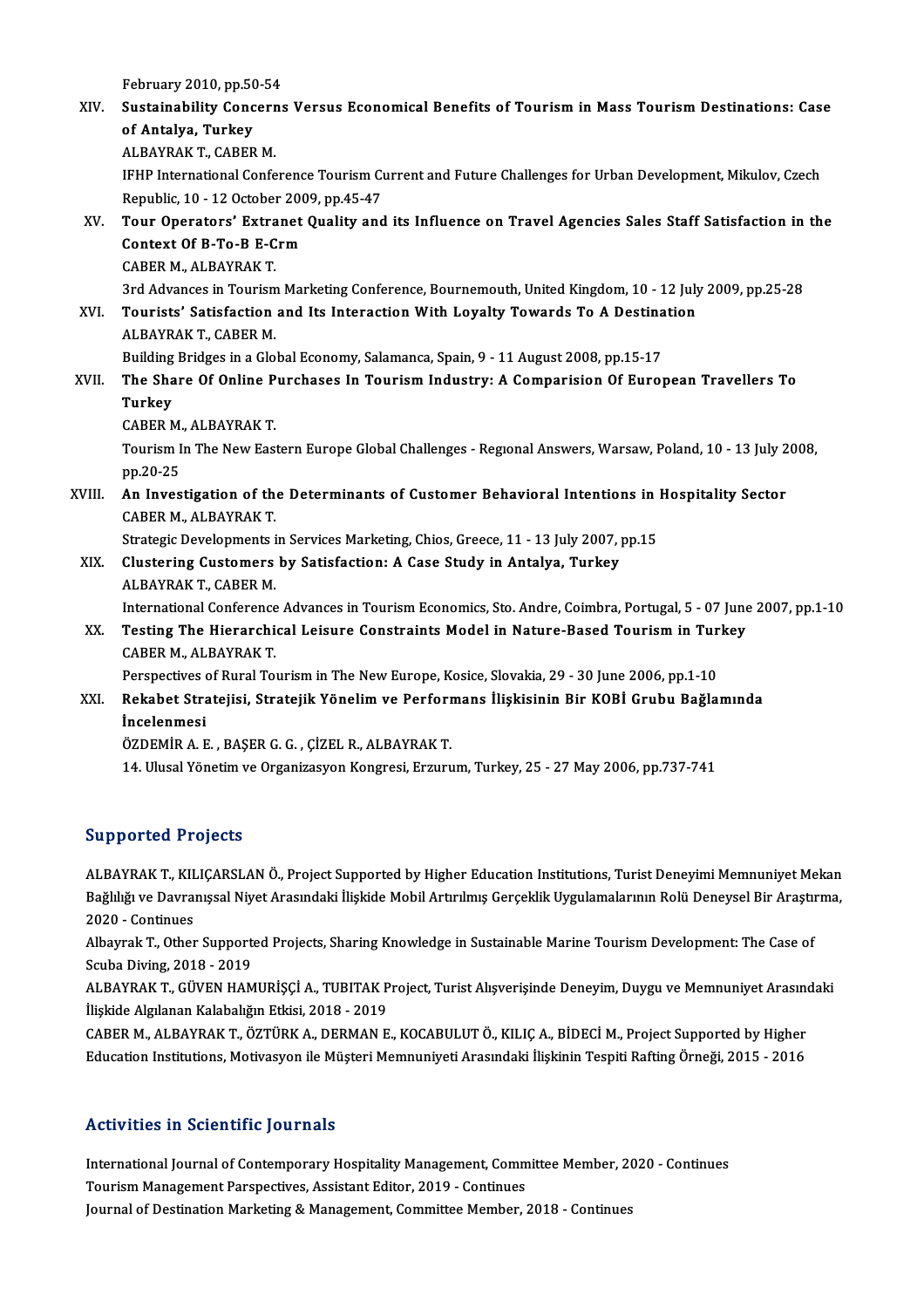### February 2010, pp.50-54<br>Sustainability Concerns February 2010, pp.50-54<br>XIV. Sustainability Concerns Versus Economical Benefits of Tourism in Mass Tourism Destinations: Case<br>Of Antalya Turkey February 2010, pp.50<br>Sustainability Conc<br>of Antalya, Turkey<br>ALBAYBAK T. CABER Sustainability Concerr<br>of Antalya, Turkey<br>ALBAYRAK T., CABER M.<br><sup>IEUD International Confe</sub></sup> of Antalya, Turkey<br>ALBAYRAK T., CABER M.<br>IFHP International Conference Tourism Current and Future Challenges for Urban Development, Mikulov, Czech<br>Ropublis, 10, .12 Ostober 2009, pp.45, 47 ALBAYRAK T., CABER M.<br>IFHP International Conference Tourism Cu<br>Republic, 10 - 12 October 2009, pp.45-47<br>Tour Operstars', Extranst Quality and IFHP International Conference Tourism Current and Future Challenges for Urban Development, Mikulov, Czech<br>Republic, 10 - 12 October 2009, pp.45-47<br>XV. Tour Operators' Extranet Quality and its Influence on Travel Agencies S Republic, 10 - 12 October 200<br>Tour Operators' Extranet<br>Context Of B-To-B E-Crm Tour Operators' Extra<br>Context Of B-To-B E-C<br>CABER M., ALBAYRAK T.<br>2rd Advances in Tourism Context Of B-To-B E-Crm<br>CABER M., ALBAYRAK T.<br>3rd Advances in Tourism Marketing Conference, Bournemouth, United Kingdom, 10 - 12 July 2009, pp.25-28 CABER M., ALBAYRAK T.<br>3rd Advances in Tourism Marketing Conference, Bournemouth, United Kingdom, 10 - 12 July<br>XVI. Tourists' Satisfaction and Its Interaction With Loyalty Towards To A Destination **3rd Advances in Tourism<br>Tourists' Satisfaction<br>ALBAYRAK T., CABER M.**<br>Puilding Pridges in a Clo Tourists' Satisfaction and Its Interaction With Loyalty Towards To A Destina<br>ALBAYRAK T., CABER M.<br>Building Bridges in a Global Economy, Salamanca, Spain, 9 - 11 August 2008, pp.15-17<br>The Share Of Online Burshasse In Touri ALBAYRAK T., CABER M.<br>Building Bridges in a Global Economy, Salamanca, Spain, 9 - 11 August 2008, pp.15-17<br>XVII. The Share Of Online Purchases In Tourism Industry: A Comparision Of European Travellers To **Building<br>The Sha<br>Turkey<br>CAPEP A** The Share Of Online P<br>Turkey<br>CABER M., ALBAYRAK T.<br>Touriam In The Now Fost Turkey<br>CABER M., ALBAYRAK T.<br>Tourism In The New Eastern Europe Global Challenges - Regıonal Answers, Warsaw, Poland, 10 - 13 July 2008,<br>nn 20 25 CABER M.<br>Tourism I<br>pp.20-25 Tourism In The New Eastern Europe Global Challenges - Regional Answers, Warsaw, Poland, 10 - 13 July 2<br>pp.20-25<br>XVIII. An Investigation of the Determinants of Customer Behavioral Intentions in Hospitality Sector<br>GARER M. A pp.20-25<br>An Investigation of the<br>CABER M., ALBAYRAK T.<br>Strategie Developments i An Investigation of the Determinants of Customer Behavioral Intentions in 1<br>CABER M., ALBAYRAK T.<br>Strategic Developments in Services Marketing, Chios, Greece, 11 - 13 July 2007, pp.15<br>Clustering Customers by Satisfastion: CABER M., ALBAYRAK T.<br>Strategic Developments in Services Marketing, Chios, Greece, 11 - 13 July 2007, <br>XIX. Clustering Customers by Satisfaction: A Case Study in Antalya, Turkey<br>ALBAVBAK T. CABER M Strategic Developments i<br>Clustering Customers<br>ALBAYRAK T., CABER M.<br>International Conference Clustering Customers by Satisfaction: A Case Study in Antalya, Turkey<br>ALBAYRAK T., CABER M.<br>International Conference Advances in Tourism Economics, Sto. Andre, Coimbra, Portugal, 5 - 07 June 2007, pp.1-10<br>Testing The Hiere ALBAYRAK T., CABER M.<br>International Conference Advances in Tourism Economics, Sto. Andre, Coimbra, Portugal, 5 - 07 June<br>XX. Testing The Hierarchical Leisure Constraints Model in Nature-Based Tourism in Turkey<br>CABER M. ALB

International Conference<br>Testing The Hierarchi<br>CABER M., ALBAYRAK T.<br>Perspectives of Bural To Testing The Hierarchical Leisure Constraints Model in Nature-Based Tourism in Tur<br>CABER M., ALBAYRAK T.<br>Perspectives of Rural Tourism in The New Europe, Kosice, Slovakia, 29 - 30 June 2006, pp.1-10<br>Rekebet Stratejisi, Stra CABER M., ALBAYRAK T.<br>Perspectives of Rural Tourism in The New Europe, Kosice, Slovakia, 29 - 30 June 2006, pp.1-10<br>XXI. Rekabet Stratejisi, Stratejik Yönelim ve Performans İlişkisinin Bir KOBİ Grubu Bağlamında<br>İncelenmesi

Perspectives of Rural Tourism in The New Europe, Kosice, Slovakia, 29 - 30 June 2006, pp.1-10

ÖZDEMİRA.E. ,BAŞERG.G. ,ÇİZELR.,ALBAYRAKT.

14. Ulusal Yönetim ve Organizasyon Kongresi, Erzurum, Turkey, 25 - 27 May 2006, pp.737-741

### Supported Projects

Supported Projects<br>ALBAYRAK T., KILIÇARSLAN Ö., Project Supported by Higher Education Institutions, Turist Deneyimi Memnuniyet Mekan<br>Rağlılığı ve Dayranıscal Nivet Arasındaki İlişkide Mebil Artırılmış Cerseklik Uygulamalar Bağlığı II Byocco<br>ALBAYRAK T., KILIÇARSLAN Ö., Project Supported by Higher Education Institutions, Turist Deneyimi Memnuniyet Mekan<br>Bağlılığı ve Davranışsal Niyet Arasındaki İlişkide Mobil Artırılmış Gerçeklik Uygulamaları ALBAYRAK T., KIL<br>Bağlılığı ve Davra<br>2020 - Continues<br>Albayrak T. Othar Bağlılığı ve Davranışsal Niyet Arasındaki İlişkide Mobil Artırılmış Gerçeklik Uygulamalarının Rolü Deneysel Bir Araştın<br>2020 - Continues<br>Albayrak T., Other Supported Projects, Sharing Knowledge in Sustainable Marine Touris

2020 - Continues<br>Albayrak T., Other Support<br>Scuba Diving, 2018 - 2019<br>ALBAYRAK T. CÜVEN HAM Albayrak T., Other Supported Projects, Sharing Knowledge in Sustainable Marine Tourism Development: The Case of<br>Scuba Diving, 2018 - 2019<br>ALBAYRAK T., GÜVEN HAMURİŞÇİ A., TUBITAK Project, Turist Alışverişinde Deneyim, Duyg

Scuba Diving, 2018 - 2019<br>ALBAYRAK T., GÜVEN HAMURİŞÇİ A., TUBITAK Project, Turist Alışverişinde Deneyim, Duygu ve Memnuniyet Arasın<br>İlişkide Algılanan Kalabalığın Etkisi, 2018 - 2019<br>CABER M., ALBAYRAK T., ÖZTÜRK A., DERM ALBAYRAK T., GÜVEN HAMURİŞÇİ A., TUBITAK Project, Turist Alışverişinde Deneyim, Duygu ve Memnuniyet Arasındaki

Education Institutions, Motivasyon ile Müşteri Memnuniyeti Arasındaki İlişkinin Tespiti Rafting Örneği, 2015 - 2016

### Activities in Scientific Journals

Activities in Scientific Journals<br>International Journal of Contemporary Hospitality Management, Committee Member, 2020 - Continues<br>Teuriam Management Perspectives, Assistant Editor, 2019, Continues International Journal of Contemporary Hospitality Management, Comm<br>Tourism Management Parspectives, Assistant Editor, 2019 - Continues<br>Journal of Destination Marketing & Management, Committee Member International Journal of Contemporary Hospitality Management, Committee Member, 2<br>Tourism Management Parspectives, Assistant Editor, 2019 - Continues<br>Journal of Destination Marketing & Management, Committee Member, 2018 -